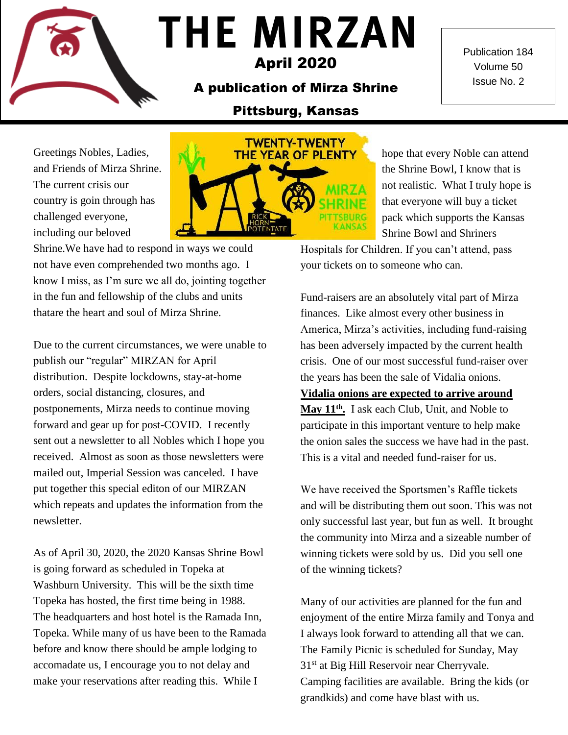## **THE MIRZAN** April 2020

A publication of Mirza Shrine

Publication 184 Volume 50 Issue No. 2

## Pittsburg, Kansas

Greetings Nobles, Ladies, and Friends of Mirza Shrine. The current crisis our country is goin through has challenged everyone, including our beloved



Shrine.We have had to respond in ways we could not have even comprehended two months ago. I know I miss, as I'm sure we all do, jointing together in the fun and fellowship of the clubs and units thatare the heart and soul of Mirza Shrine.

Due to the current circumstances, we were unable to publish our "regular" MIRZAN for April distribution. Despite lockdowns, stay-at-home orders, social distancing, closures, and postponements, Mirza needs to continue moving forward and gear up for post-COVID. I recently sent out a newsletter to all Nobles which I hope you received. Almost as soon as those newsletters were mailed out, Imperial Session was canceled. I have put together this special editon of our MIRZAN which repeats and updates the information from the newsletter.

As of April 30, 2020, the 2020 Kansas Shrine Bowl is going forward as scheduled in Topeka at Washburn University. This will be the sixth time Topeka has hosted, the first time being in 1988. The headquarters and host hotel is the Ramada Inn, Topeka. While many of us have been to the Ramada before and know there should be ample lodging to accomadate us, I encourage you to not delay and make your reservations after reading this. While I

hope that every Noble can attend the Shrine Bowl, I know that is not realistic. What I truly hope is that everyone will buy a ticket pack which supports the Kansas Shrine Bowl and Shriners

Hospitals for Children. If you can't attend, pass your tickets on to someone who can.

Fund-raisers are an absolutely vital part of Mirza finances. Like almost every other business in America, Mirza's activities, including fund-raising has been adversely impacted by the current health crisis. One of our most successful fund-raiser over the years has been the sale of Vidalia onions.

**Vidalia onions are expected to arrive around May 11th .** I ask each Club, Unit, and Noble to participate in this important venture to help make the onion sales the success we have had in the past. This is a vital and needed fund-raiser for us.

We have received the Sportsmen's Raffle tickets and will be distributing them out soon. This was not only successful last year, but fun as well. It brought the community into Mirza and a sizeable number of winning tickets were sold by us. Did you sell one of the winning tickets?

Many of our activities are planned for the fun and enjoyment of the entire Mirza family and Tonya and I always look forward to attending all that we can. The Family Picnic is scheduled for Sunday, May 31<sup>st</sup> at Big Hill Reservoir near Cherryvale. Camping facilities are available. Bring the kids (or grandkids) and come have blast with us.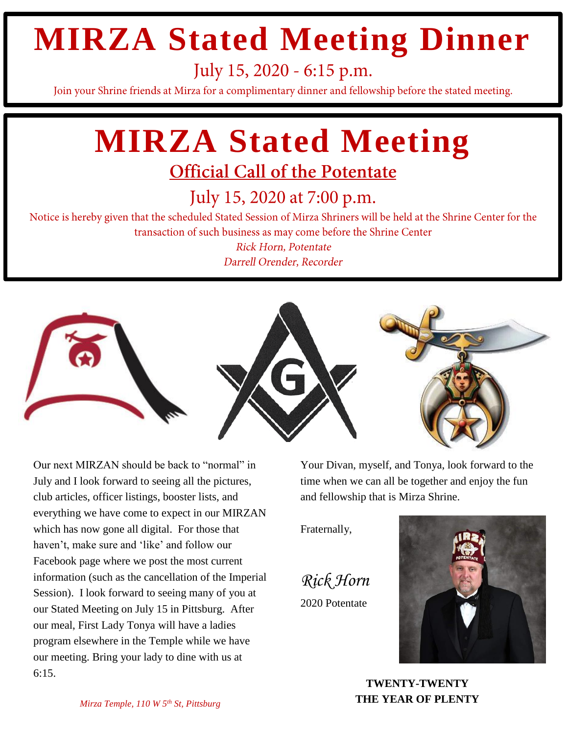## **MIRZA Stated Meeting Dinner**

July 15, 2020 - 6:15 p.m.

Join your Shrine friends at Mirza for a complimentary dinner and fellowship before the stated meeting.

# **MIRZA Stated Meeting**

## **Official Call of the Potentate**

July 15, 2020 at 7:00 p.m.

Notice is hereby given that the scheduled Stated Session of Mirza Shriners will be held at the Shrine Center for the transaction of such business as may come before the Shrine Center

> **Rick Horn, Potentate** Darrell Orender, Recorder



Our next MIRZAN should be back to "normal" in July and I look forward to seeing all the pictures, club articles, officer listings, booster lists, and everything we have come to expect in our MIRZAN which has now gone all digital. For those that haven't, make sure and 'like' and follow our Facebook page where we post the most current information (such as the cancellation of the Imperial Session). I look forward to seeing many of you at our Stated Meeting on July 15 in Pittsburg. After our meal, First Lady Tonya will have a ladies program elsewhere in the Temple while we have our meeting. Bring your lady to dine with us at 6:15.

Your Divan, myself, and Tonya, look forward to the time when we can all be together and enjoy the fun and fellowship that is Mirza Shrine.

Fraternally,

*Rick Horn* 2020 Potentate



**TWENTY-TWENTY THE YEAR OF PLENTY**